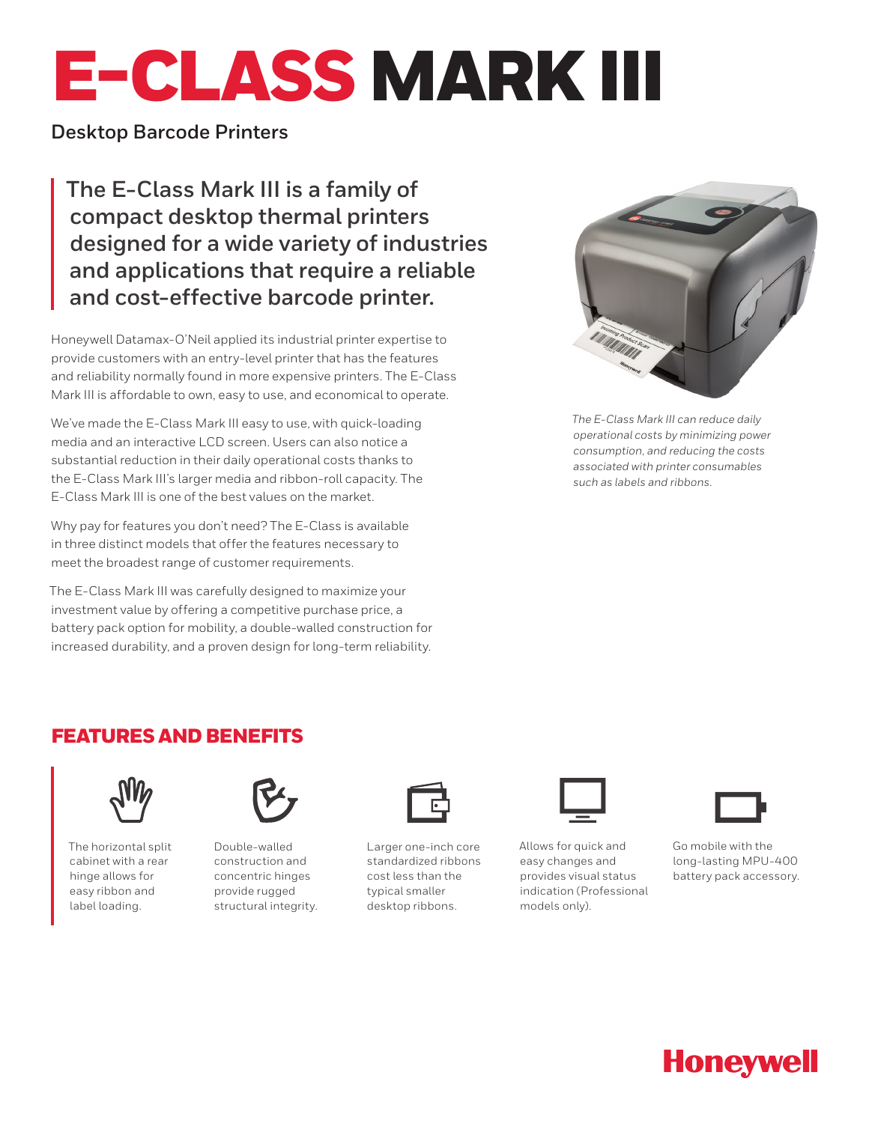# E-CLASS MARK III

# **Desktop Barcode Printers**

**The E-Class Mark III is a family of compact desktop thermal printers designed for a wide variety of industries and applications that require a reliable and cost-effective barcode printer.** 

Honeywell Datamax-O'Neil applied its industrial printer expertise to provide customers with an entry-level printer that has the features and reliability normally found in more expensive printers. The E-Class Mark III is affordable to own, easy to use, and economical to operate.

We've made the E-Class Mark III easy to use, with quick-loading media and an interactive LCD screen. Users can also notice a substantial reduction in their daily operational costs thanks to the E-Class Mark III's larger media and ribbon-roll capacity. The E-Class Mark III is one of the best values on the market.

Why pay for features you don't need? The E-Class is available in three distinct models that offer the features necessary to meet the broadest range of customer requirements.

The E-Class Mark III was carefully designed to maximize your investment value by offering a competitive purchase price, a battery pack option for mobility, a double-walled construction for increased durability, and a proven design for long-term reliability.



*The E-Class Mark III can reduce daily operational costs by minimizing power consumption, and reducing the costs associated with printer consumables such as labels and ribbons.*

# FEATURES AND BENEFITS



The horizontal split cabinet with a rear hinge allows for easy ribbon and label loading.



Double-walled construction and concentric hinges provide rugged structural integrity.



Larger one-inch core standardized ribbons cost less than the typical smaller desktop ribbons.



Allows for quick and easy changes and provides visual status indication (Professional models only).



Go mobile with the long-lasting MPU-400 battery pack accessory.

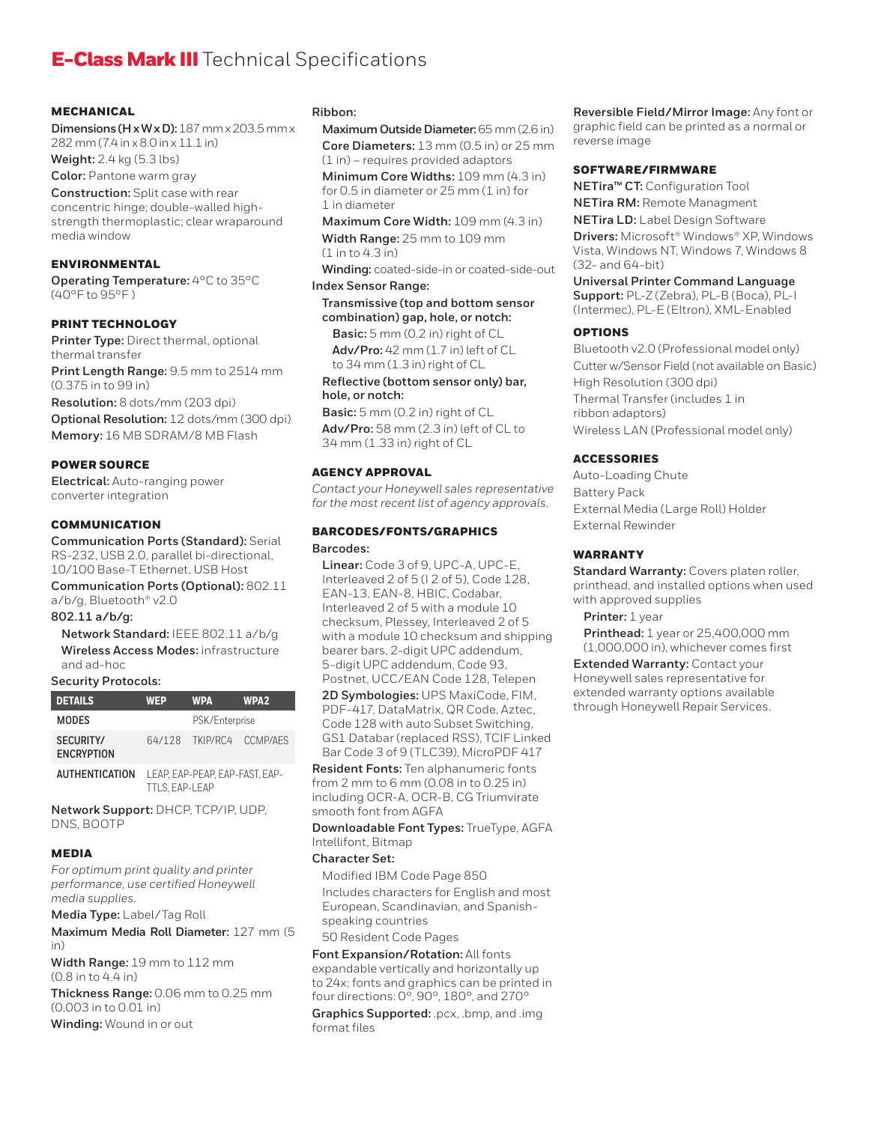# **E-Class Mark III** Technical Specifications

#### **MECHANICAL**

**Dimensions (H x W x D):** 187 mm x 203.5 mm x 282 mm (7.4 in x 8.0 in x 11.1 in)

**Weight:** 2.4 kg (5.3 lbs)

**Color:** Pantone warm gray

**Construction:** Split case with rear concentric hinge; double-walled highstrength thermoplastic; clear wraparound media window

#### **ENVIRONMENTAL**

**Operating Temperature:** 4°C to 35°C (40°F to 95°F )

#### PRINT TECHNOLOGY

**Printer Type:** Direct thermal, optional thermal transfer **Print Length Range:** 9.5 mm to 2514 mm

(0.375 in to 99 in)

**Resolution:** 8 dots/mm (203 dpi)

**Optional Resolution:** 12 dots/mm (300 dpi) **Memory:** 16 MB SDRAM/8 MB Flash

#### POWER SOURCE

**Electrical:** Auto-ranging power converter integration

#### COMMUNICATION

**Communication Ports (Standard):** Serial RS-232, USB 2.0, parallel bi-directional,

10/100 Base-T Ethernet, USB Host **Communication Ports (Optional):** 802.11

a/b/g, Bluetooth® v2.0

### **802.11 a/b/g:**

**Network Standard:** IEEE 802.11 a/b/g **Wireless Access Modes:** infrastructure and ad-hoc

#### **Security Protocols:**

| <b>DETAILS</b>                 | <b>WFP</b>     | <b>WPA</b>               | WPA <sub>2</sub> |
|--------------------------------|----------------|--------------------------|------------------|
| <b>MODES</b>                   | PSK/Enterprise |                          |                  |
| SECURITY/<br><b>FNCRYPTION</b> |                | 64/128 TKIP/RC4 CCMP/AFS |                  |

**AUTHENTICATION** LEAP, EAP-PEAP, EAP-FAST, EAP-TTLS, EAP-LEAP

**Network Support:** DHCP, TCP/IP, UDP, DNS, BOOTP

#### MEDIA

*For optimum print quality and printer performance, use certified Honeywell media supplies.*

**Media Type:** Label/Tag Roll

**Maximum Media Roll Diameter:** 127 mm (5 in)

**Width Range:** 19 mm to 112 mm (0.8 in to 4.4 in)

**Thickness Range:** 0.06 mm to 0.25 mm (0.003 in to 0.01 in)

**Winding:** Wound in or out

#### **Ribbon:**

**Maximum Outside Diameter:** 65 mm (2.6 in) **Core Diameters:** 13 mm (0.5 in) or 25 mm

(1 in) – requires provided adaptors **Minimum Core Widths:** 109 mm (4.3 in) for 0.5 in diameter or 25 mm (1 in) for

1 in diameter **Maximum Core Width:** 109 mm (4.3 in)

**Width Range:** 25 mm to 109 mm (1 in to 4.3 in)

**Winding:** coated-side-in or coated-side-out

#### **Index Sensor Range:**

**Transmissive (top and bottom sensor combination) gap, hole, or notch:**

**Basic:** 5 mm (0.2 in) right of CL **Adv/Pro:** 42 mm (1.7 in) left of CL

to 34 mm (1.3 in) right of CL

#### **Reflective (bottom sensor only) bar, hole, or notch:**

**Basic:** 5 mm (0.2 in) right of CL **Adv/Pro:** 58 mm (2.3 in) left of CL to 34 mm (1.33 in) right of CL

#### AGENCY APPROVAL

*Contact your Honeywell sales representative for the most recent list of agency approvals.*

## BARCODES/FONTS/GRAPHICS

#### **Barcodes:**

**Linear:** Code 3 of 9, UPC-A, UPC-E, Interleaved 2 of 5 (I 2 of 5), Code 128, EAN-13, EAN-8, HBIC, Codabar, Interleaved 2 of 5 with a module 10 checksum, Plessey, Interleaved 2 of 5 with a module 10 checksum and shipping bearer bars, 2-digit UPC addendum, 5-digit UPC addendum, Code 93, Postnet, UCC/EAN Code 128, Telepen

**2D Symbologies:** UPS MaxiCode, FIM, PDF-417, DataMatrix, QR Code, Aztec, Code 128 with auto Subset Switching, GS1 Databar (replaced RSS), TCIF Linked Bar Code 3 of 9 (TLC39), MicroPDF 417

**Resident Fonts:** Ten alphanumeric fonts from 2 mm to 6 mm (0.08 in to 0.25 in) including OCR-A, OCR-B, CG Triumvirate smooth font from AGFA

**Downloadable Font Types:** TrueType, AGFA Intellifont, Bitmap

#### **Character Set:**

Modified IBM Code Page 850 Includes characters for English and most European, Scandinavian, and Spanishspeaking countries

#### 50 Resident Code Pages

**Font Expansion/Rotation:** All fonts expandable vertically and horizontally up to 24x; fonts and graphics can be printed in four directions: 0°, 90°, 180°, and 270°

**Graphics Supported:** .pcx, .bmp, and .img format files

**Reversible Field/Mirror Image:** Any font or graphic field can be printed as a normal or reverse image

#### SOFTWARE/FIRMWARE

**NETira™ CT:** Configuration Tool

**NETira RM:** Remote Managment **NETira LD:** Label Design Software

**Drivers:** Microsoft® Windows® XP, Windows Vista, Windows NT, Windows 7, Windows 8 (32- and 64-bit)

**Universal Printer Command Language Support:** PL-Z (Zebra), PL-B (Boca), PL-I (Intermec), PL-E (Eltron), XML-Enabled

#### OPTIONS

Bluetooth v2.0 (Professional model only) Cutter w/Sensor Field (not available on Basic) High Resolution (300 dpi) Thermal Transfer (includes 1 in ribbon adaptors) Wireless LAN (Professional model only)

#### ACCESSORIES

Auto-Loading Chute Battery Pack External Media (Large Roll) Holder External Rewinder

#### **WARRANTY**

**Standard Warranty:** Covers platen roller, printhead, and installed options when used with approved supplies

**Printer:** 1 year

**Printhead:** 1 year or 25,400,000 mm (1,000,000 in), whichever comes first

**Extended Warranty:** Contact your Honeywell sales representative for extended warranty options available through Honeywell Repair Services.